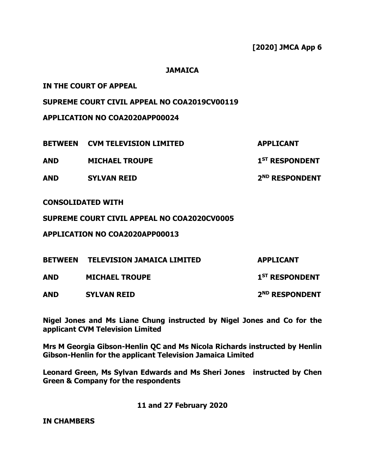**ST RESPONDENT**

**ND RESPONDENT**

## **JAMAICA**

# **IN THE COURT OF APPEAL**

# **SUPREME COURT CIVIL APPEAL NO COA2019CV00119**

**APPLICATION NO COA2020APP00024**

**BETWEEN CVM TELEVISION LIMITED APPLICANT**

**AND MICHAEL TROUPE** 

**AND SYLVAN REID 2**

## **CONSOLIDATED WITH**

**SUPREME COURT CIVIL APPEAL NO COA2020CV0005**

**APPLICATION NO COA2020APP00013**

| <b>BETWEEN</b> | <b>TELEVISION JAMAICA LIMITED</b> | <b>APPLICANT</b>           |
|----------------|-----------------------------------|----------------------------|
| <b>AND</b>     | <b>MICHAEL TROUPE</b>             | 1 <sup>ST</sup> RESPONDENT |
| <b>AND</b>     | <b>SYLVAN REID</b>                | 2 <sup>ND</sup> RESPONDENT |

**Nigel Jones and Ms Liane Chung instructed by Nigel Jones and Co for the applicant CVM Television Limited** 

**Mrs M Georgia Gibson-Henlin QC and Ms Nicola Richards instructed by Henlin Gibson-Henlin for the applicant Television Jamaica Limited**

**Leonard Green, Ms Sylvan Edwards and Ms Sheri Jones instructed by Chen Green & Company for the respondents**

**11 and 27 February 2020**

**IN CHAMBERS**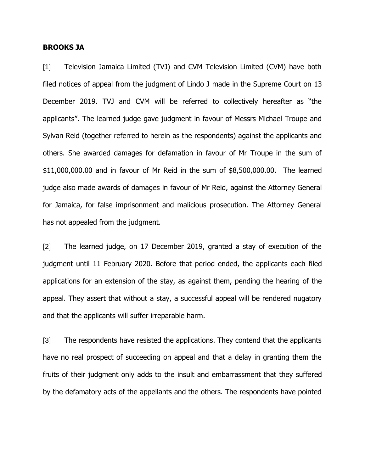#### **BROOKS JA**

[1] Television Jamaica Limited (TVJ) and CVM Television Limited (CVM) have both filed notices of appeal from the judgment of Lindo J made in the Supreme Court on 13 December 2019. TVJ and CVM will be referred to collectively hereafter as "the applicants". The learned judge gave judgment in favour of Messrs Michael Troupe and Sylvan Reid (together referred to herein as the respondents) against the applicants and others. She awarded damages for defamation in favour of Mr Troupe in the sum of \$11,000,000.00 and in favour of Mr Reid in the sum of \$8,500,000.00. The learned judge also made awards of damages in favour of Mr Reid, against the Attorney General for Jamaica, for false imprisonment and malicious prosecution. The Attorney General has not appealed from the judgment.

[2] The learned judge, on 17 December 2019, granted a stay of execution of the judgment until 11 February 2020. Before that period ended, the applicants each filed applications for an extension of the stay, as against them, pending the hearing of the appeal. They assert that without a stay, a successful appeal will be rendered nugatory and that the applicants will suffer irreparable harm.

[3] The respondents have resisted the applications. They contend that the applicants have no real prospect of succeeding on appeal and that a delay in granting them the fruits of their judgment only adds to the insult and embarrassment that they suffered by the defamatory acts of the appellants and the others. The respondents have pointed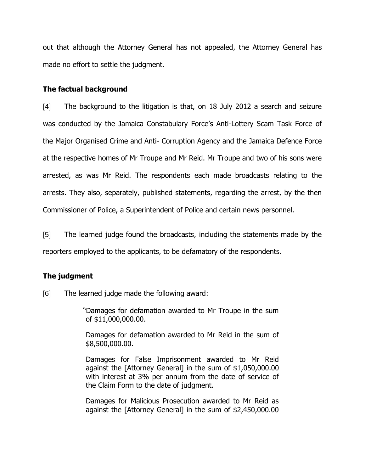out that although the Attorney General has not appealed, the Attorney General has made no effort to settle the judgment.

#### **The factual background**

[4] The background to the litigation is that, on 18 July 2012 a search and seizure was conducted by the Jamaica Constabulary Force's Anti-Lottery Scam Task Force of the Major Organised Crime and Anti- Corruption Agency and the Jamaica Defence Force at the respective homes of Mr Troupe and Mr Reid. Mr Troupe and two of his sons were arrested, as was Mr Reid. The respondents each made broadcasts relating to the arrests. They also, separately, published statements, regarding the arrest, by the then Commissioner of Police, a Superintendent of Police and certain news personnel.

[5] The learned judge found the broadcasts, including the statements made by the reporters employed to the applicants, to be defamatory of the respondents.

## **The judgment**

[6] The learned judge made the following award:

"Damages for defamation awarded to Mr Troupe in the sum of \$11,000,000.00.

Damages for defamation awarded to Mr Reid in the sum of \$8,500,000.00.

Damages for False Imprisonment awarded to Mr Reid against the [Attorney General] in the sum of \$1,050,000.00 with interest at 3% per annum from the date of service of the Claim Form to the date of judgment.

Damages for Malicious Prosecution awarded to Mr Reid as against the [Attorney General] in the sum of \$2,450,000.00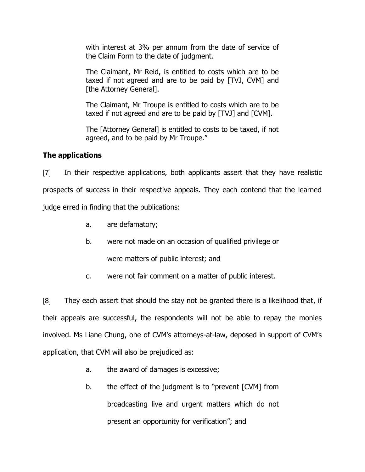with interest at 3% per annum from the date of service of the Claim Form to the date of judgment.

The Claimant, Mr Reid, is entitled to costs which are to be taxed if not agreed and are to be paid by [TVJ, CVM] and [the Attorney General].

The Claimant, Mr Troupe is entitled to costs which are to be taxed if not agreed and are to be paid by [TVJ] and [CVM].

The [Attorney General] is entitled to costs to be taxed, if not agreed, and to be paid by Mr Troupe."

# **The applications**

[7] In their respective applications, both applicants assert that they have realistic prospects of success in their respective appeals. They each contend that the learned judge erred in finding that the publications:

- a. are defamatory;
- b. were not made on an occasion of qualified privilege or

were matters of public interest; and

c. were not fair comment on a matter of public interest.

[8] They each assert that should the stay not be granted there is a likelihood that, if their appeals are successful, the respondents will not be able to repay the monies involved. Ms Liane Chung, one of CVM's attorneys-at-law, deposed in support of CVM's application, that CVM will also be prejudiced as:

- a. the award of damages is excessive;
- b. the effect of the judgment is to "prevent [CVM] from broadcasting live and urgent matters which do not present an opportunity for verification"; and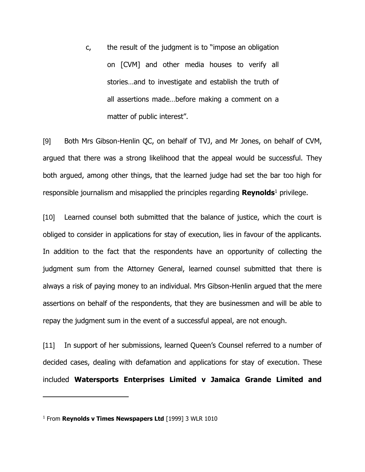c, the result of the judgment is to "impose an obligation on [CVM] and other media houses to verify all stories…and to investigate and establish the truth of all assertions made…before making a comment on a matter of public interest".

[9] Both Mrs Gibson-Henlin QC, on behalf of TVJ, and Mr Jones, on behalf of CVM, argued that there was a strong likelihood that the appeal would be successful. They both argued, among other things, that the learned judge had set the bar too high for responsible journalism and misapplied the principles regarding **Reynolds**<sup>1</sup> privilege.

[10] Learned counsel both submitted that the balance of justice, which the court is obliged to consider in applications for stay of execution, lies in favour of the applicants. In addition to the fact that the respondents have an opportunity of collecting the judgment sum from the Attorney General, learned counsel submitted that there is always a risk of paying money to an individual. Mrs Gibson-Henlin argued that the mere assertions on behalf of the respondents, that they are businessmen and will be able to repay the judgment sum in the event of a successful appeal, are not enough.

[11] In support of her submissions, learned Queen's Counsel referred to a number of decided cases, dealing with defamation and applications for stay of execution. These included **Watersports Enterprises Limited v Jamaica Grande Limited and** 

 $\overline{a}$ 

<sup>1</sup> From **Reynolds v Times Newspapers Ltd** [1999] 3 WLR 1010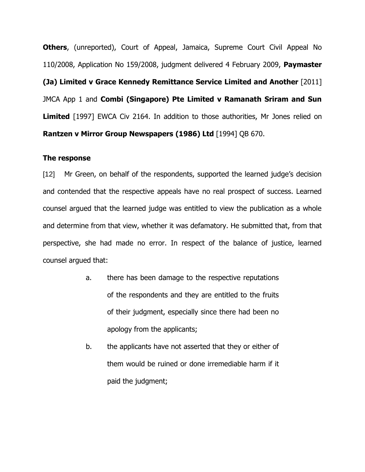**Others**, (unreported), Court of Appeal, Jamaica, Supreme Court Civil Appeal No 110/2008, Application No 159/2008, judgment delivered 4 February 2009, **Paymaster (Ja) Limited v Grace Kennedy Remittance Service Limited and Another** [2011] JMCA App 1 and **Combi (Singapore) Pte Limited v Ramanath Sriram and Sun Limited** [1997] EWCA Civ 2164. In addition to those authorities, Mr Jones relied on **Rantzen v Mirror Group Newspapers (1986) Ltd** [1994] QB 670.

#### **The response**

[12] Mr Green, on behalf of the respondents, supported the learned judge's decision and contended that the respective appeals have no real prospect of success. Learned counsel argued that the learned judge was entitled to view the publication as a whole and determine from that view, whether it was defamatory. He submitted that, from that perspective, she had made no error. In respect of the balance of justice, learned counsel argued that:

- a. there has been damage to the respective reputations of the respondents and they are entitled to the fruits of their judgment, especially since there had been no apology from the applicants;
- b. the applicants have not asserted that they or either of them would be ruined or done irremediable harm if it paid the judgment;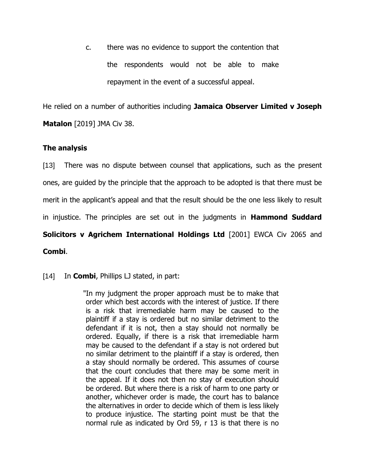c. there was no evidence to support the contention that the respondents would not be able to make repayment in the event of a successful appeal.

He relied on a number of authorities including **Jamaica Observer Limited v Joseph Matalon** [2019] JMA Civ 38.

# **The analysis**

[13] There was no dispute between counsel that applications, such as the present ones, are guided by the principle that the approach to be adopted is that there must be merit in the applicant's appeal and that the result should be the one less likely to result in injustice. The principles are set out in the judgments in **Hammond Suddard Solicitors v Agrichem International Holdings Ltd** [2001] EWCA Civ 2065 and **Combi**.

## [14] In **Combi**, Phillips LJ stated, in part:

"In my judgment the proper approach must be to make that order which best accords with the interest of justice. If there is a risk that irremediable harm may be caused to the plaintiff if a stay is ordered but no similar detriment to the defendant if it is not, then a stay should not normally be ordered. Equally, if there is a risk that irremediable harm may be caused to the defendant if a stay is not ordered but no similar detriment to the plaintiff if a stay is ordered, then a stay should normally be ordered. This assumes of course that the court concludes that there may be some merit in the appeal. If it does not then no stay of execution should be ordered. But where there is a risk of harm to one party or another, whichever order is made, the court has to balance the alternatives in order to decide which of them is less likely to produce injustice. The starting point must be that the normal rule as indicated by Ord 59, r 13 is that there is no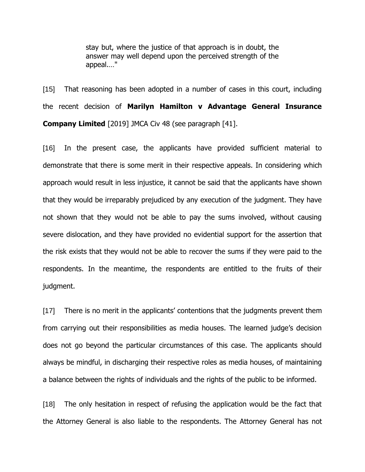stay but, where the justice of that approach is in doubt, the answer may well depend upon the perceived strength of the appeal.…"

[15] That reasoning has been adopted in a number of cases in this court, including the recent decision of **Marilyn Hamilton v Advantage General Insurance Company Limited** [2019] JMCA Civ 48 (see paragraph [41].

[16] In the present case, the applicants have provided sufficient material to demonstrate that there is some merit in their respective appeals. In considering which approach would result in less injustice, it cannot be said that the applicants have shown that they would be irreparably prejudiced by any execution of the judgment. They have not shown that they would not be able to pay the sums involved, without causing severe dislocation, and they have provided no evidential support for the assertion that the risk exists that they would not be able to recover the sums if they were paid to the respondents. In the meantime, the respondents are entitled to the fruits of their judgment.

[17] There is no merit in the applicants' contentions that the judgments prevent them from carrying out their responsibilities as media houses. The learned judge's decision does not go beyond the particular circumstances of this case. The applicants should always be mindful, in discharging their respective roles as media houses, of maintaining a balance between the rights of individuals and the rights of the public to be informed.

[18] The only hesitation in respect of refusing the application would be the fact that the Attorney General is also liable to the respondents. The Attorney General has not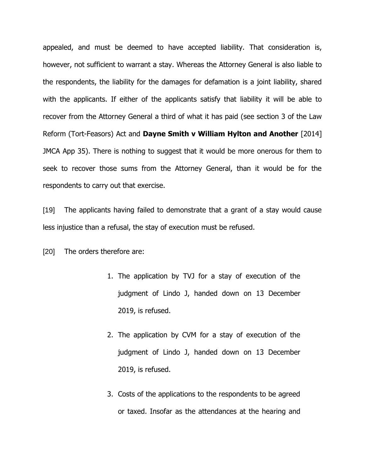appealed, and must be deemed to have accepted liability. That consideration is, however, not sufficient to warrant a stay. Whereas the Attorney General is also liable to the respondents, the liability for the damages for defamation is a joint liability, shared with the applicants. If either of the applicants satisfy that liability it will be able to recover from the Attorney General a third of what it has paid (see section 3 of the Law Reform (Tort-Feasors) Act and **Dayne Smith v William Hylton and Another** [2014] JMCA App 35). There is nothing to suggest that it would be more onerous for them to seek to recover those sums from the Attorney General, than it would be for the respondents to carry out that exercise.

[19] The applicants having failed to demonstrate that a grant of a stay would cause less injustice than a refusal, the stay of execution must be refused.

[20] The orders therefore are:

- 1. The application by TVJ for a stay of execution of the judgment of Lindo J, handed down on 13 December 2019, is refused.
- 2. The application by CVM for a stay of execution of the judgment of Lindo J, handed down on 13 December 2019, is refused.
- 3. Costs of the applications to the respondents to be agreed or taxed. Insofar as the attendances at the hearing and